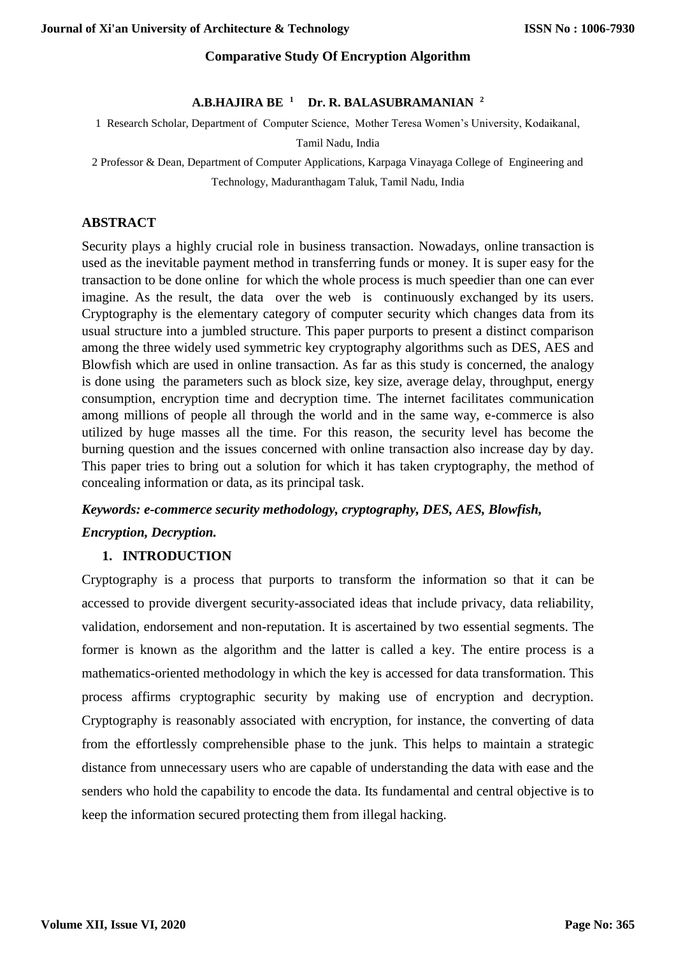## **Comparative Study Of Encryption Algorithm**

### **A.B.HAJIRA BE <sup>1</sup> Dr. R. BALASUBRAMANIAN <sup>2</sup>**

1 Research Scholar, Department of Computer Science, Mother Teresa Women's University, Kodaikanal,

#### Tamil Nadu, India

2 Professor & Dean, Department of Computer Applications, Karpaga Vinayaga College of Engineering and Technology, Maduranthagam Taluk, Tamil Nadu, India

## **ABSTRACT**

Security plays a highly crucial role in business transaction. Nowadays, online transaction is used as the inevitable payment method in transferring funds or money. It is super easy for the transaction to be done online for which the whole process is much speedier than one can ever imagine. As the result, the data over the web is continuously exchanged by its users. Cryptography is the elementary category of computer security which changes data from its usual structure into a jumbled structure. This paper purports to present a distinct comparison among the three widely used symmetric key cryptography algorithms such as DES, AES and Blowfish which are used in online transaction. As far as this study is concerned, the analogy is done using the parameters such as block size, key size, average delay, throughput, energy consumption, encryption time and decryption time. The internet facilitates communication among millions of people all through the world and in the same way, e-commerce is also utilized by huge masses all the time. For this reason, the security level has become the burning question and the issues concerned with online transaction also increase day by day. This paper tries to bring out a solution for which it has taken cryptography, the method of concealing information or data, as its principal task.

# *Keywords: e-commerce security methodology, cryptography, DES, AES, Blowfish, Encryption, Decryption.*

# **1. INTRODUCTION**

Cryptography is a process that purports to transform the information so that it can be accessed to provide divergent security-associated ideas that include privacy, data reliability, validation, endorsement and non-reputation. It is ascertained by two essential segments. The former is known as the algorithm and the latter is called a key. The entire process is a mathematics-oriented methodology in which the key is accessed for data transformation. This process affirms cryptographic security by making use of encryption and decryption. Cryptography is reasonably associated with encryption, for instance, the converting of data from the effortlessly comprehensible phase to the junk. This helps to maintain a strategic distance from unnecessary users who are capable of understanding the data with ease and the senders who hold the capability to encode the data. Its fundamental and central objective is to keep the information secured protecting them from illegal hacking.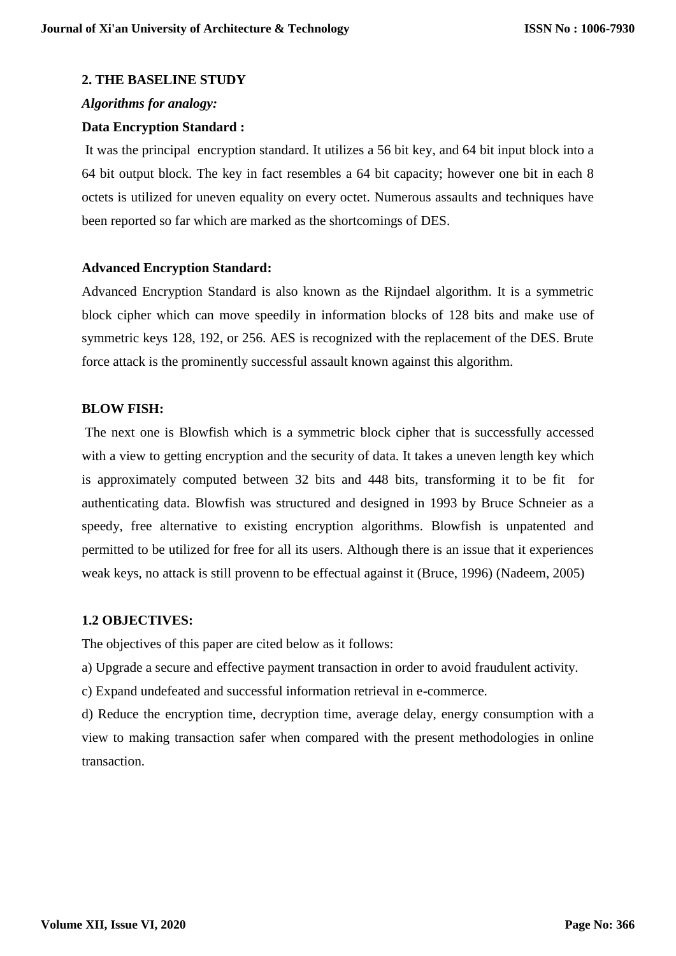## **2. THE BASELINE STUDY**

## *Algorithms for analogy:*

## **Data Encryption Standard :**

It was the principal encryption standard. It utilizes a 56 bit key, and 64 bit input block into a 64 bit output block. The key in fact resembles a 64 bit capacity; however one bit in each 8 octets is utilized for uneven equality on every octet. Numerous assaults and techniques have been reported so far which are marked as the shortcomings of DES.

## **Advanced Encryption Standard:**

Advanced Encryption Standard is also known as the Rijndael algorithm. It is a symmetric block cipher which can move speedily in information blocks of 128 bits and make use of symmetric keys 128, 192, or 256. AES is recognized with the replacement of the DES. Brute force attack is the prominently successful assault known against this algorithm.

## **BLOW FISH:**

The next one is Blowfish which is a symmetric block cipher that is successfully accessed with a view to getting encryption and the security of data. It takes a uneven length key which is approximately computed between 32 bits and 448 bits, transforming it to be fit for authenticating data. Blowfish was structured and designed in 1993 by Bruce Schneier as a speedy, free alternative to existing encryption algorithms. Blowfish is unpatented and permitted to be utilized for free for all its users. Although there is an issue that it experiences weak keys, no attack is still provenn to be effectual against it (Bruce, 1996) (Nadeem, 2005)

# **1.2 OBJECTIVES:**

The objectives of this paper are cited below as it follows:

a) Upgrade a secure and effective payment transaction in order to avoid fraudulent activity.

c) Expand undefeated and successful information retrieval in e-commerce.

d) Reduce the encryption time, decryption time, average delay, energy consumption with a view to making transaction safer when compared with the present methodologies in online transaction.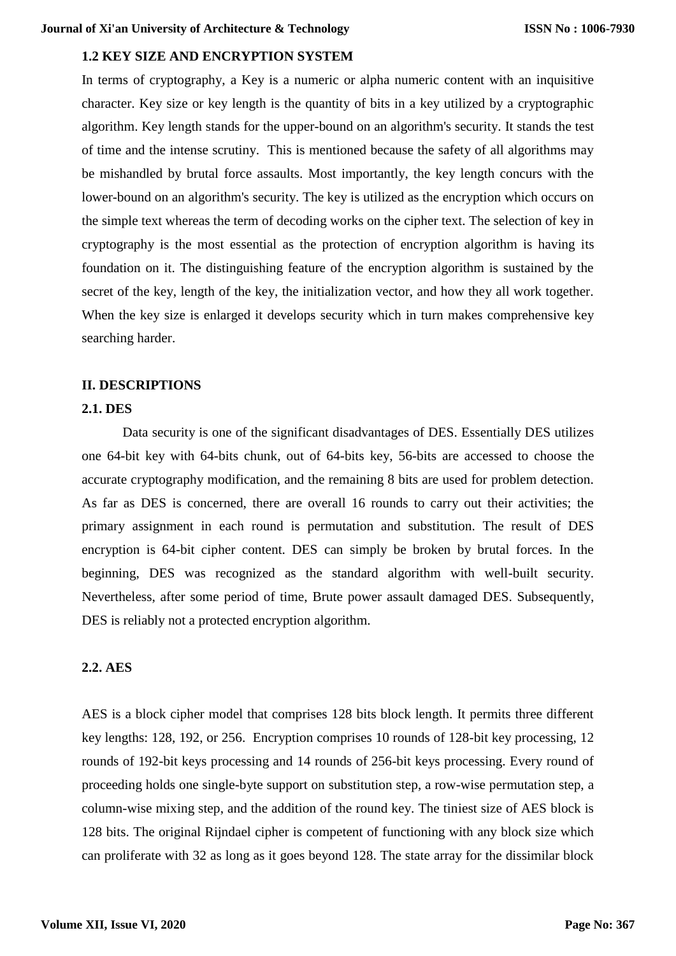# **1.2 KEY SIZE AND ENCRYPTION SYSTEM**

In terms of cryptography, a Key is a numeric or alpha numeric content with an inquisitive character. Key size or key length is the quantity of bits in a key utilized by a cryptographic algorithm. Key length stands for the upper-bound on an algorithm's security. It stands the test of time and the intense scrutiny. This is mentioned because the safety of all algorithms may be mishandled by brutal force assaults. Most importantly, the key length concurs with the lower-bound on an algorithm's security. The key is utilized as the encryption which occurs on the simple text whereas the term of decoding works on the cipher text. The selection of key in cryptography is the most essential as the protection of encryption algorithm is having its foundation on it. The distinguishing feature of the encryption algorithm is sustained by the secret of the key, length of the key, the initialization vector, and how they all work together. When the key size is enlarged it develops security which in turn makes comprehensive key searching harder.

## **II. DESCRIPTIONS**

## **2.1. DES**

Data security is one of the significant disadvantages of DES. Essentially DES utilizes one 64-bit key with 64-bits chunk, out of 64-bits key, 56-bits are accessed to choose the accurate cryptography modification, and the remaining 8 bits are used for problem detection. As far as DES is concerned, there are overall 16 rounds to carry out their activities; the primary assignment in each round is permutation and substitution. The result of DES encryption is 64-bit cipher content. DES can simply be broken by brutal forces. In the beginning, DES was recognized as the standard algorithm with well-built security. Nevertheless, after some period of time, Brute power assault damaged DES. Subsequently, DES is reliably not a protected encryption algorithm.

## **2.2. AES**

AES is a block cipher model that comprises 128 bits block length. It permits three different key lengths: 128, 192, or 256. Encryption comprises 10 rounds of 128-bit key processing, 12 rounds of 192-bit keys processing and 14 rounds of 256-bit keys processing. Every round of proceeding holds one single-byte support on substitution step, a row-wise permutation step, a column-wise mixing step, and the addition of the round key. The tiniest size of AES block is 128 bits. The original Rijndael cipher is competent of functioning with any block size which can proliferate with 32 as long as it goes beyond 128. The state array for the dissimilar block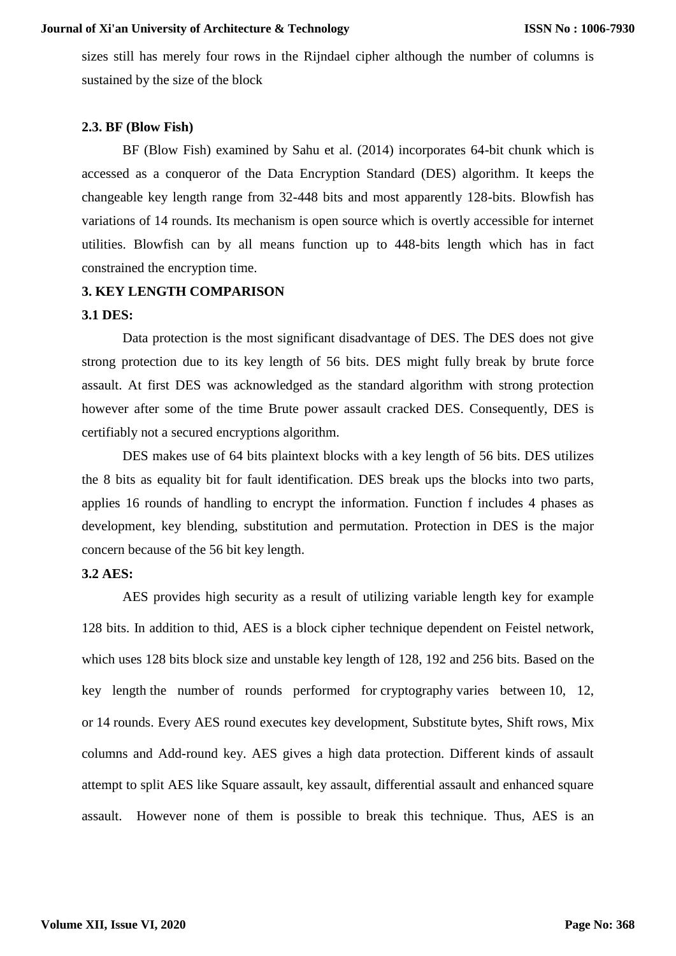sizes still has merely four rows in the Rijndael cipher although the number of columns is sustained by the size of the block

### **2.3. BF (Blow Fish)**

BF (Blow Fish) examined by Sahu et al. (2014) incorporates 64-bit chunk which is accessed as a conqueror of the Data Encryption Standard (DES) algorithm. It keeps the changeable key length range from 32-448 bits and most apparently 128-bits. Blowfish has variations of 14 rounds. Its mechanism is open source which is overtly accessible for internet utilities. Blowfish can by all means function up to 448-bits length which has in fact constrained the encryption time.

#### **3. KEY LENGTH COMPARISON**

### **3.1 DES:**

Data protection is the most significant disadvantage of DES. The DES does not give strong protection due to its key length of 56 bits. DES might fully break by brute force assault. At first DES was acknowledged as the standard algorithm with strong protection however after some of the time Brute power assault cracked DES. Consequently, DES is certifiably not a secured encryptions algorithm.

DES makes use of 64 bits plaintext blocks with a key length of 56 bits. DES utilizes the 8 bits as equality bit for fault identification. DES break ups the blocks into two parts, applies 16 rounds of handling to encrypt the information. Function f includes 4 phases as development, key blending, substitution and permutation. Protection in DES is the major concern because of the 56 bit key length.

### **3.2 AES:**

AES provides high security as a result of utilizing variable length key for example 128 bits. In addition to thid, AES is a block cipher technique dependent on Feistel network, which uses 128 bits block size and unstable key length of 128, 192 and 256 bits. Based on the key length the number of rounds performed for cryptography varies between 10, 12, or 14 rounds. Every AES round executes key development, Substitute bytes, Shift rows, Mix columns and Add-round key. AES gives a high data protection. Different kinds of assault attempt to split AES like Square assault, key assault, differential assault and enhanced square assault. However none of them is possible to break this technique. Thus, AES is an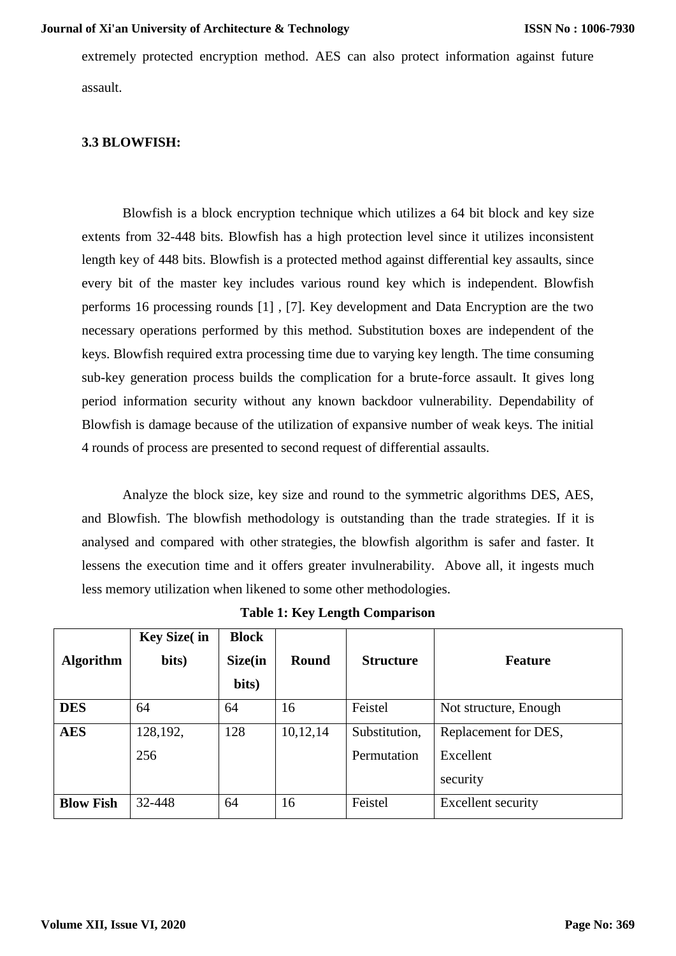extremely protected encryption method. AES can also protect information against future assault.

## **3.3 BLOWFISH:**

Blowfish is a block encryption technique which utilizes a 64 bit block and key size extents from 32-448 bits. Blowfish has a high protection level since it utilizes inconsistent length key of 448 bits. Blowfish is a protected method against differential key assaults, since every bit of the master key includes various round key which is independent. Blowfish performs 16 processing rounds [1] , [7]. Key development and Data Encryption are the two necessary operations performed by this method. Substitution boxes are independent of the keys. Blowfish required extra processing time due to varying key length. The time consuming sub-key generation process builds the complication for a brute-force assault. It gives long period information security without any known backdoor vulnerability. Dependability of Blowfish is damage because of the utilization of expansive number of weak keys. The initial 4 rounds of process are presented to second request of differential assaults.

Analyze the block size, key size and round to the symmetric algorithms DES, AES, and Blowfish. The blowfish methodology is outstanding than the trade strategies. If it is analysed and compared with other strategies, the blowfish algorithm is safer and faster. It lessens the execution time and it offers greater invulnerability. Above all, it ingests much less memory utilization when likened to some other methodologies.

| <b>Algorithm</b> | <b>Key Size(in</b><br>bits) | <b>Block</b><br>Size(in<br>bits) | Round    | <b>Structure</b> | <b>Feature</b>            |  |
|------------------|-----------------------------|----------------------------------|----------|------------------|---------------------------|--|
| <b>DES</b>       | 64                          | 64                               | 16       | Feistel          | Not structure, Enough     |  |
| <b>AES</b>       | 128,192,                    | 128                              | 10,12,14 | Substitution,    | Replacement for DES,      |  |
|                  | 256                         |                                  |          | Permutation      | Excellent                 |  |
|                  |                             |                                  |          |                  | security                  |  |
| <b>Blow Fish</b> | 32-448                      | 64                               | 16       | Feistel          | <b>Excellent security</b> |  |

**Table 1: Key Length Comparison**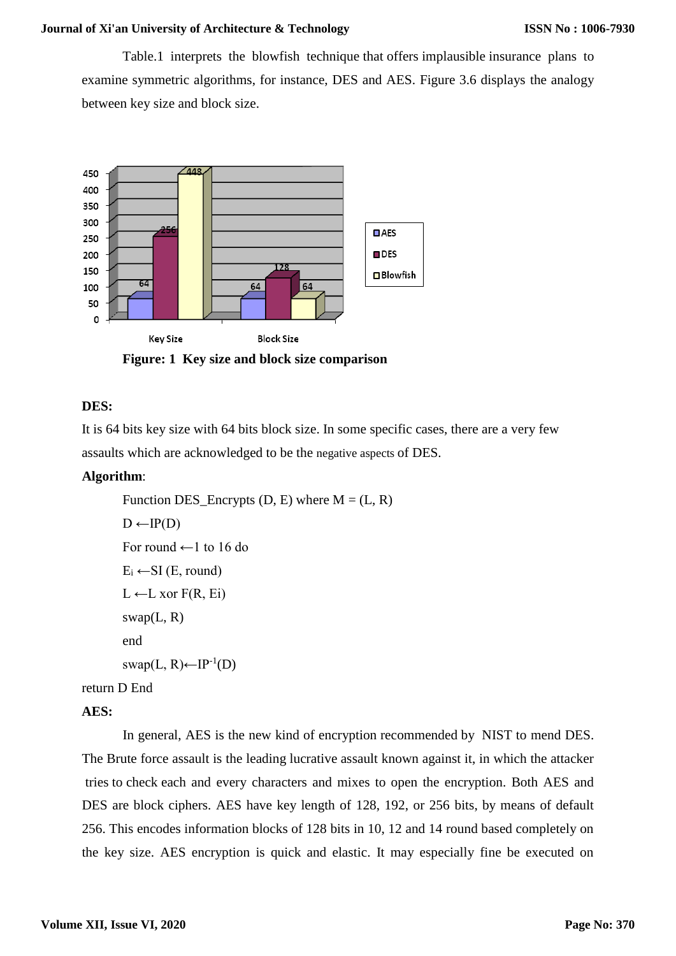Table.1 interprets the blowfish technique that offers implausible insurance plans to examine symmetric algorithms, for instance, DES and AES. Figure 3.6 displays the analogy between key size and block size.



**Figure: 1 Key size and block size comparison**

## **DES:**

It is 64 bits key size with 64 bits block size. In some specific cases, there are a very few assaults which are acknowledged to be the negative aspects of DES.

## **Algorithm**:

```
Function DES Encrypts (D, E) where M = (L, R)D \leftarrow IP(D)For round ←1 to 16 do
        E_i \leftarrow SI (E, round)
        L \leftarrow L xor F(R, Ei)swap(L, R)end
        swap(L, R) ← IP^{-1}(D)return D End
```
## **AES:**

In general, AES is the new kind of encryption recommended by NIST to mend DES. The Brute force assault is the leading lucrative assault known against it, in which the attacker tries to check each and every characters and mixes to open the encryption. Both AES and DES are block ciphers. AES have key length of 128, 192, or 256 bits, by means of default 256. This encodes information blocks of 128 bits in 10, 12 and 14 round based completely on the key size. AES encryption is quick and elastic. It may especially fine be executed on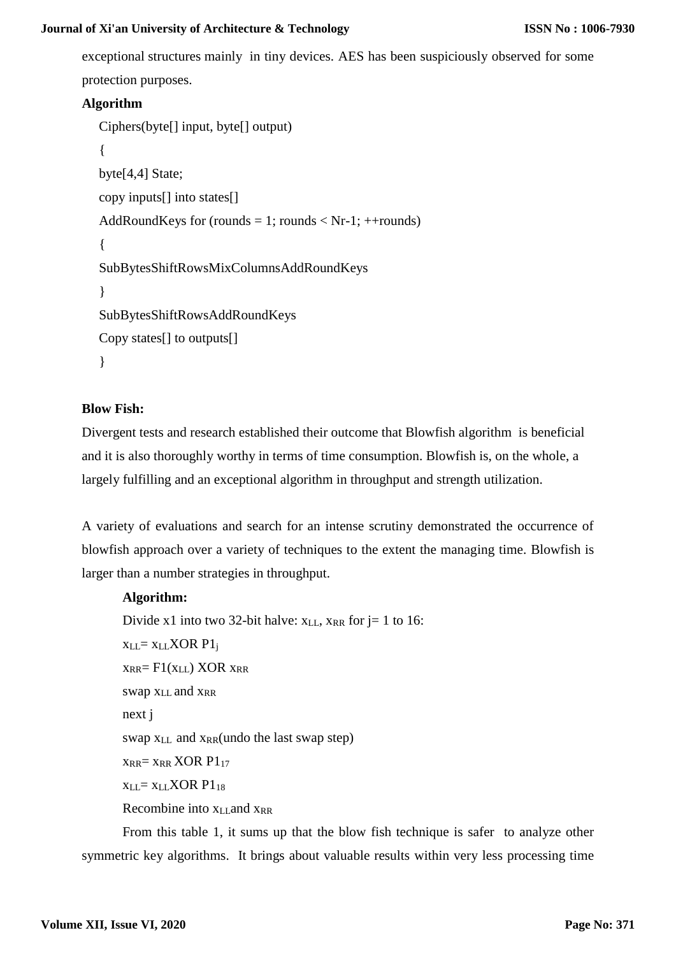exceptional structures mainly in tiny devices. AES has been suspiciously observed for some protection purposes.

# **Algorithm**

```
Ciphers(byte[] input, byte[] output) 
{
byte[4,4] State;
copy inputs[] into states[] 
AddRoundKeys for (rounds = 1; rounds < Nr-1; ++rounds)
{
SubBytesShiftRowsMixColumnsAddRoundKeys
}
SubBytesShiftRowsAddRoundKeys
Copy states[] to outputs[]
}
```
# **Blow Fish:**

Divergent tests and research established their outcome that Blowfish algorithm is beneficial and it is also thoroughly worthy in terms of time consumption. Blowfish is, on the whole, a largely fulfilling and an exceptional algorithm in throughput and strength utilization.

A variety of evaluations and search for an intense scrutiny demonstrated the occurrence of blowfish approach over a variety of techniques to the extent the managing time. Blowfish is larger than a number strategies in throughput.

# **Algorithm:**

Divide x1 into two 32-bit halve:  $x_{LL}$ ,  $x_{RR}$  for  $j = 1$  to 16:

```
x_{LL}= x_{LL} XOR P1<sub>j</sub>
x_{RR}= F1(x_{LL}) XOR x_{RR}swap x_{LL} and x_{RR}next j
swap x_{LL} and x_{RR} (undo the last swap step)
x_{RR} = x_{RR} XOR P1_{17}xLL= xLLXOR P118
Recombine into x_L and x_{RR}
```
From this table 1, it sums up that the blow fish technique is safer to analyze other symmetric key algorithms. It brings about valuable results within very less processing time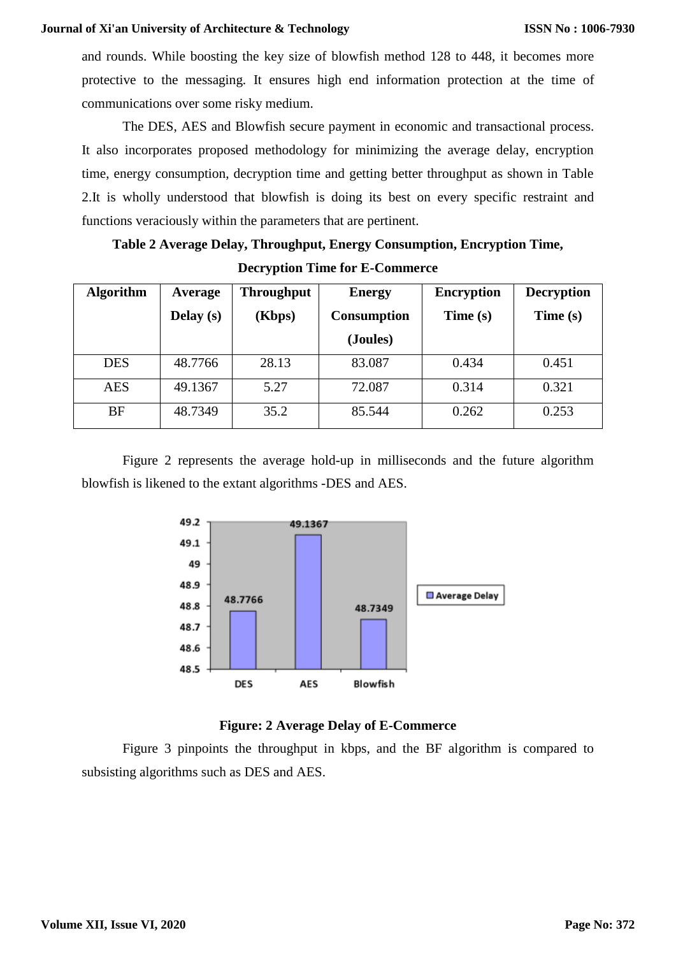and rounds. While boosting the key size of blowfish method 128 to 448, it becomes more protective to the messaging. It ensures high end information protection at the time of communications over some risky medium.

The DES, AES and Blowfish secure payment in economic and transactional process. It also incorporates proposed methodology for minimizing the average delay, encryption time, energy consumption, decryption time and getting better throughput as shown in Table 2.It is wholly understood that blowfish is doing its best on every specific restraint and functions veraciously within the parameters that are pertinent.

# **Table 2 Average Delay, Throughput, Energy Consumption, Encryption Time, Decryption Time for E-Commerce**

| <b>Algorithm</b> | Average   | <b>Throughput</b> | <b>Energy</b>      | <b>Encryption</b> | <b>Decryption</b> |
|------------------|-----------|-------------------|--------------------|-------------------|-------------------|
|                  | Delay (s) | (Kbps)            | <b>Consumption</b> | Time(s)           | Time (s)          |
|                  |           |                   | (Joules)           |                   |                   |
| <b>DES</b>       | 48.7766   | 28.13             | 83.087             | 0.434             | 0.451             |
| <b>AES</b>       | 49.1367   | 5.27              | 72.087             | 0.314             | 0.321             |
| <b>BF</b>        | 48.7349   | 35.2              | 85.544             | 0.262             | 0.253             |

Figure 2 represents the average hold-up in milliseconds and the future algorithm blowfish is likened to the extant algorithms -DES and AES.



# **Figure: 2 Average Delay of E-Commerce**

Figure 3 pinpoints the throughput in kbps, and the BF algorithm is compared to subsisting algorithms such as DES and AES.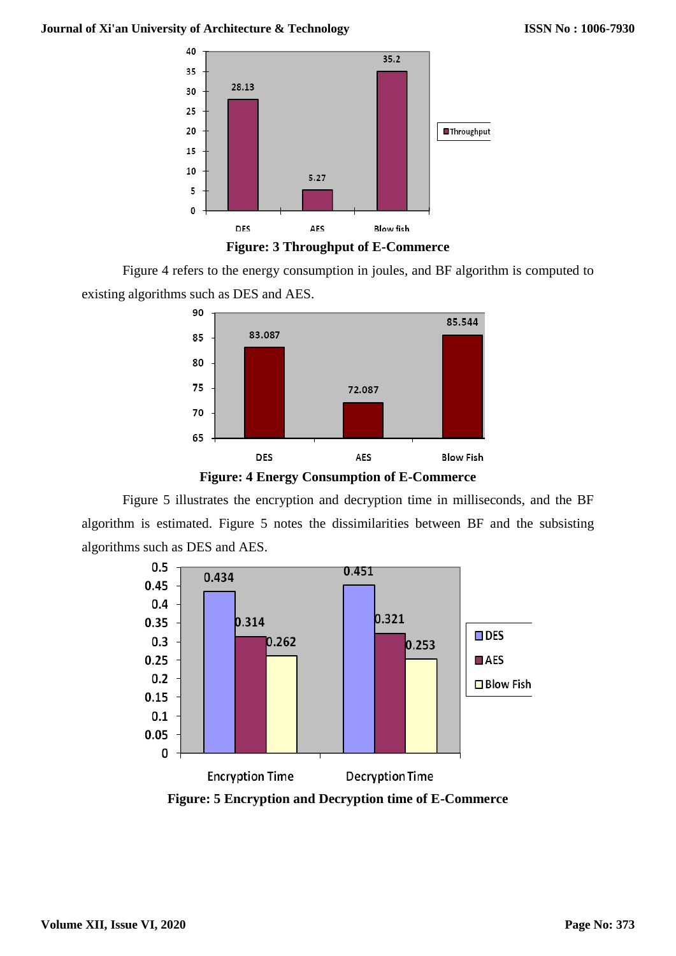



Figure 4 refers to the energy consumption in joules, and BF algorithm is computed to existing algorithms such as DES and AES.



**Figure: 4 Energy Consumption of E-Commerce**

Figure 5 illustrates the encryption and decryption time in milliseconds, and the BF algorithm is estimated. Figure 5 notes the dissimilarities between BF and the subsisting algorithms such as DES and AES.

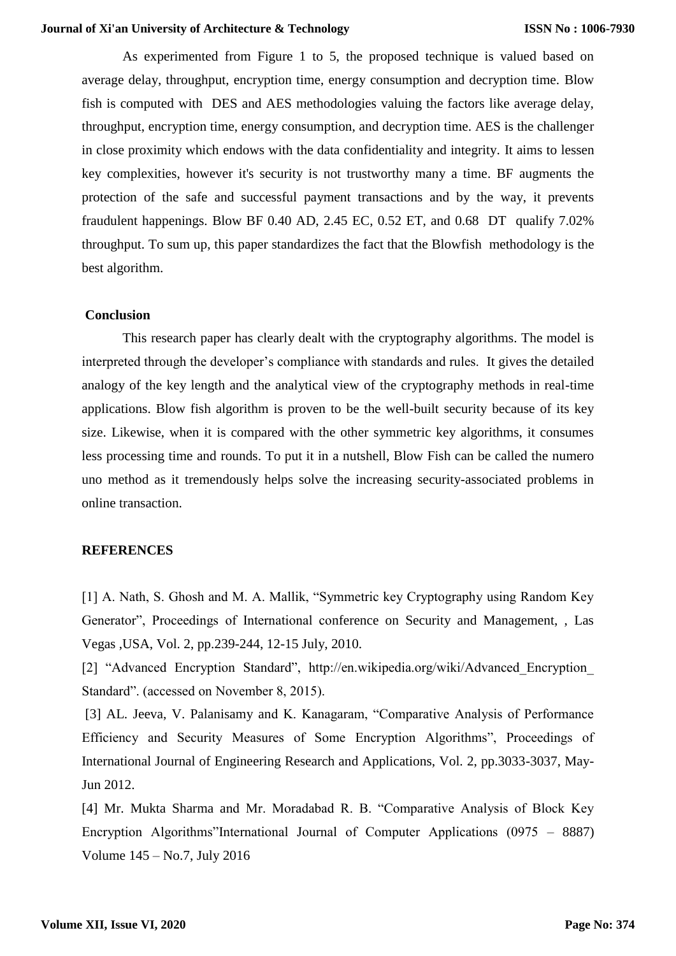As experimented from Figure 1 to 5, the proposed technique is valued based on average delay, throughput, encryption time, energy consumption and decryption time. Blow fish is computed with DES and AES methodologies valuing the factors like average delay, throughput, encryption time, energy consumption, and decryption time. AES is the challenger in close proximity which endows with the data confidentiality and integrity. It aims to lessen key complexities, however it's security is not trustworthy many a time. BF augments the protection of the safe and successful payment transactions and by the way, it prevents fraudulent happenings. Blow BF 0.40 AD, 2.45 EC, 0.52 ET, and 0.68 DT qualify 7.02% throughput. To sum up, this paper standardizes the fact that the Blowfish methodology is the best algorithm.

#### **Conclusion**

This research paper has clearly dealt with the cryptography algorithms. The model is interpreted through the developer's compliance with standards and rules. It gives the detailed analogy of the key length and the analytical view of the cryptography methods in real-time applications. Blow fish algorithm is proven to be the well-built security because of its key size. Likewise, when it is compared with the other symmetric key algorithms, it consumes less processing time and rounds. To put it in a nutshell, Blow Fish can be called the numero uno method as it tremendously helps solve the increasing security-associated problems in online transaction.

#### **REFERENCES**

[1] A. Nath, S. Ghosh and M. A. Mallik, "Symmetric key Cryptography using Random Key Generator", Proceedings of International conference on Security and Management, , Las Vegas ,USA, Vol. 2, pp.239-244, 12-15 July, 2010.

[2] "Advanced Encryption Standard", http://en.wikipedia.org/wiki/Advanced\_Encryption\_ Standard". (accessed on November 8, 2015).

[3] AL. Jeeva, V. Palanisamy and K. Kanagaram, "Comparative Analysis of Performance Efficiency and Security Measures of Some Encryption Algorithms", Proceedings of International Journal of Engineering Research and Applications, Vol. 2, pp.3033-3037, May-Jun 2012.

[4] Mr. Mukta Sharma and Mr. Moradabad R. B. "Comparative Analysis of Block Key Encryption Algorithms"International Journal of Computer Applications (0975 – 8887) Volume 145 – No.7, July 2016